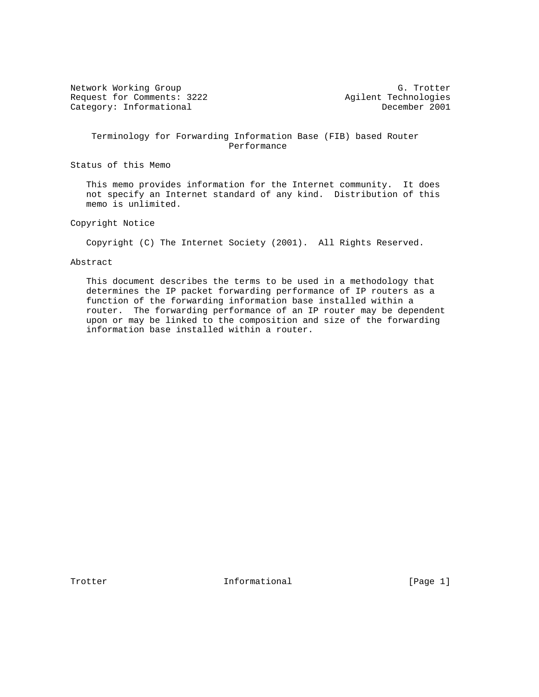Network Working Group<br>Request for Comments: 3222 G. Trotter<br>Agilent Technologies Request for Comments: 3222 Agilent Technologies<br>
Category: Informational Becember 2001 Category: Informational

 Terminology for Forwarding Information Base (FIB) based Router Performance

Status of this Memo

 This memo provides information for the Internet community. It does not specify an Internet standard of any kind. Distribution of this memo is unlimited.

Copyright Notice

Copyright (C) The Internet Society (2001). All Rights Reserved.

# Abstract

 This document describes the terms to be used in a methodology that determines the IP packet forwarding performance of IP routers as a function of the forwarding information base installed within a router. The forwarding performance of an IP router may be dependent upon or may be linked to the composition and size of the forwarding information base installed within a router.

Trotter **Informational** Informational [Page 1]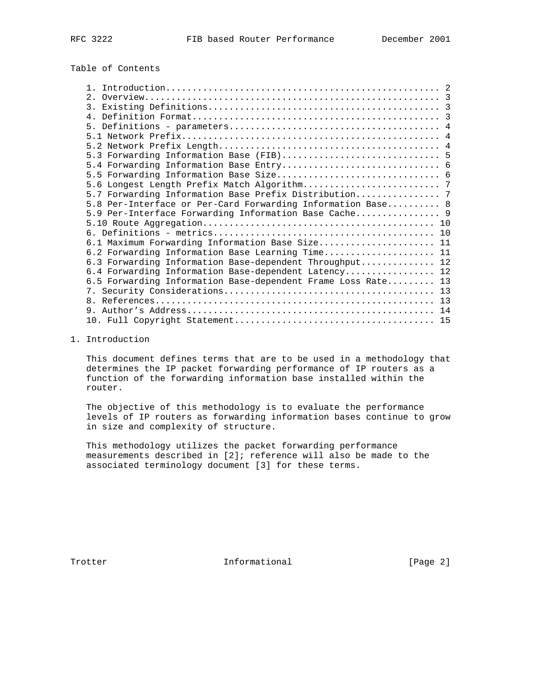Table of Contents

| 5.7 Forwarding Information Base Prefix Distribution 7        |  |
|--------------------------------------------------------------|--|
| 5.8 Per-Interface or Per-Card Forwarding Information Base 8  |  |
| 5.9 Per-Interface Forwarding Information Base Cache 9        |  |
|                                                              |  |
|                                                              |  |
| 6.1 Maximum Forwarding Information Base Size 11              |  |
| 6.2 Forwarding Information Base Learning Time 11             |  |
| 6.3 Forwarding Information Base-dependent Throughput 12      |  |
| 6.4 Forwarding Information Base-dependent Latency 12         |  |
| 6.5 Forwarding Information Base-dependent Frame Loss Rate 13 |  |
|                                                              |  |
|                                                              |  |
|                                                              |  |
|                                                              |  |

1. Introduction

 This document defines terms that are to be used in a methodology that determines the IP packet forwarding performance of IP routers as a function of the forwarding information base installed within the router.

 The objective of this methodology is to evaluate the performance levels of IP routers as forwarding information bases continue to grow in size and complexity of structure.

 This methodology utilizes the packet forwarding performance measurements described in [2]; reference will also be made to the associated terminology document [3] for these terms.

Trotter 10 Informational [Page 2]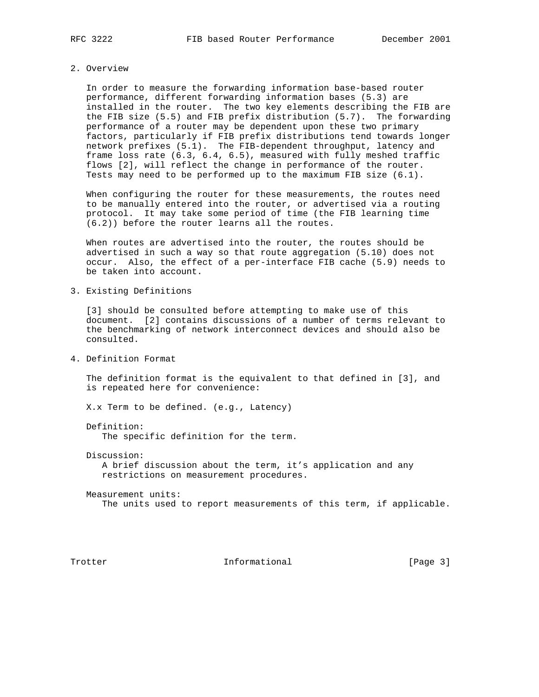# 2. Overview

 In order to measure the forwarding information base-based router performance, different forwarding information bases (5.3) are installed in the router. The two key elements describing the FIB are the FIB size (5.5) and FIB prefix distribution (5.7). The forwarding performance of a router may be dependent upon these two primary factors, particularly if FIB prefix distributions tend towards longer network prefixes (5.1). The FIB-dependent throughput, latency and frame loss rate (6.3, 6.4, 6.5), measured with fully meshed traffic flows [2], will reflect the change in performance of the router. Tests may need to be performed up to the maximum FIB size (6.1).

 When configuring the router for these measurements, the routes need to be manually entered into the router, or advertised via a routing protocol. It may take some period of time (the FIB learning time (6.2)) before the router learns all the routes.

 When routes are advertised into the router, the routes should be advertised in such a way so that route aggregation (5.10) does not occur. Also, the effect of a per-interface FIB cache (5.9) needs to be taken into account.

3. Existing Definitions

 [3] should be consulted before attempting to make use of this document. [2] contains discussions of a number of terms relevant to the benchmarking of network interconnect devices and should also be consulted.

4. Definition Format

 The definition format is the equivalent to that defined in [3], and is repeated here for convenience:

X.x Term to be defined. (e.g., Latency)

Definition:

The specific definition for the term.

Discussion:

 A brief discussion about the term, it's application and any restrictions on measurement procedures.

 Measurement units: The units used to report measurements of this term, if applicable.

Trotter 10 Informational [Page 3]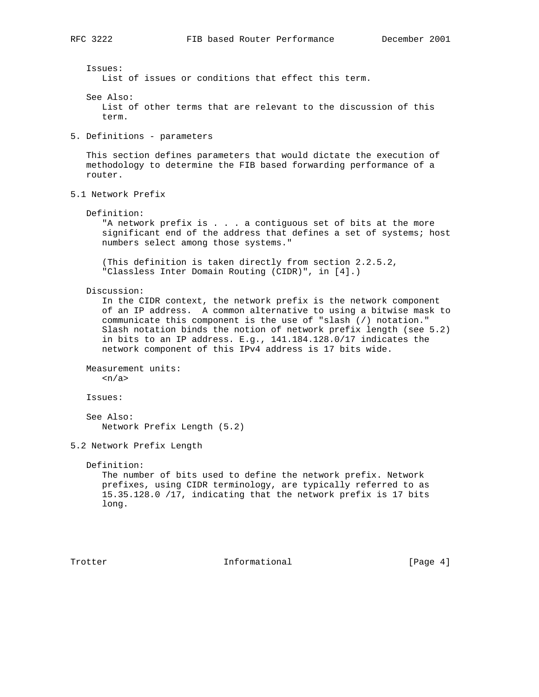List of issues or conditions that effect this term.

Issues:

 See Also: List of other terms that are relevant to the discussion of this term. 5. Definitions - parameters This section defines parameters that would dictate the execution of methodology to determine the FIB based forwarding performance of a router. 5.1 Network Prefix Definition: "A network prefix is . . . a contiguous set of bits at the more significant end of the address that defines a set of systems; host numbers select among those systems." (This definition is taken directly from section 2.2.5.2, "Classless Inter Domain Routing (CIDR)", in [4].) Discussion: In the CIDR context, the network prefix is the network component of an IP address. A common alternative to using a bitwise mask to communicate this component is the use of "slash (/) notation." Slash notation binds the notion of network prefix length (see 5.2) in bits to an IP address. E.g., 141.184.128.0/17 indicates the network component of this IPv4 address is 17 bits wide. Measurement units:

 $\langle n/a \rangle$ 

Issues:

 See Also: Network Prefix Length (5.2)

5.2 Network Prefix Length

Definition:

 The number of bits used to define the network prefix. Network prefixes, using CIDR terminology, are typically referred to as 15.35.128.0 /17, indicating that the network prefix is 17 bits long.

Trotter 10 Informational [Page 4]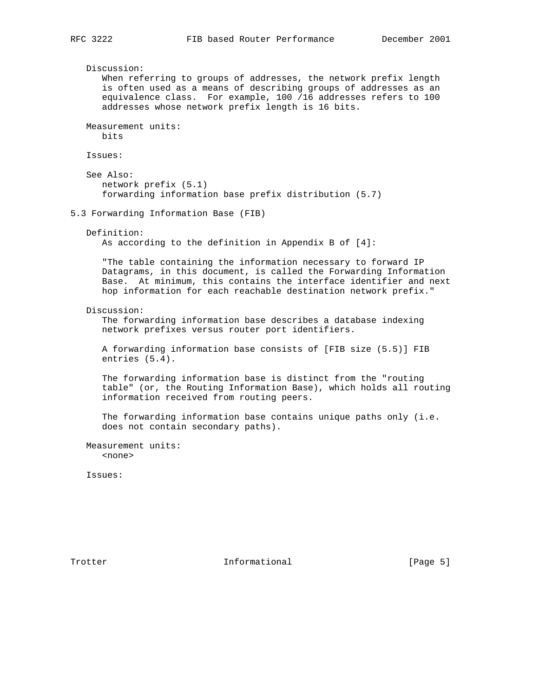Discussion: When referring to groups of addresses, the network prefix length is often used as a means of describing groups of addresses as an equivalence class. For example, 100 /16 addresses refers to 100 addresses whose network prefix length is 16 bits. Measurement units: bits Issues: See Also: network prefix (5.1) forwarding information base prefix distribution (5.7) 5.3 Forwarding Information Base (FIB) Definition: As according to the definition in Appendix B of [4]: "The table containing the information necessary to forward IP Datagrams, in this document, is called the Forwarding Information Base. At minimum, this contains the interface identifier and next hop information for each reachable destination network prefix." Discussion: The forwarding information base describes a database indexing network prefixes versus router port identifiers. A forwarding information base consists of [FIB size (5.5)] FIB entries (5.4). The forwarding information base is distinct from the "routing table" (or, the Routing Information Base), which holds all routing information received from routing peers. The forwarding information base contains unique paths only (i.e. does not contain secondary paths). Measurement units: <none>

Issues:

Trotter 10 Informational [Page 5]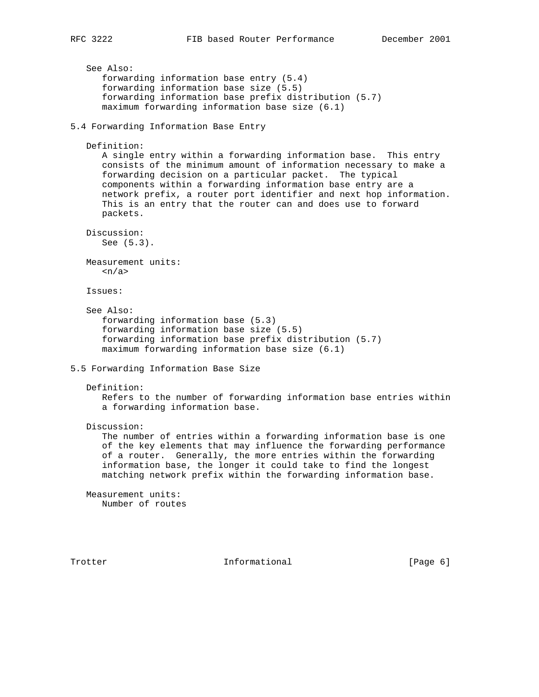```
 See Also:
       forwarding information base entry (5.4)
       forwarding information base size (5.5)
       forwarding information base prefix distribution (5.7)
      maximum forwarding information base size (6.1)
5.4 Forwarding Information Base Entry
    Definition:
      A single entry within a forwarding information base. This entry
      consists of the minimum amount of information necessary to make a
      forwarding decision on a particular packet. The typical
      components within a forwarding information base entry are a
      network prefix, a router port identifier and next hop information.
      This is an entry that the router can and does use to forward
      packets.
   Discussion:
      See (5.3).
   Measurement units:
     \langle n/a \rangle Issues:
    See Also:
       forwarding information base (5.3)
       forwarding information base size (5.5)
       forwarding information base prefix distribution (5.7)
      maximum forwarding information base size (6.1)
5.5 Forwarding Information Base Size
   Definition:
      Refers to the number of forwarding information base entries within
      a forwarding information base.
    Discussion:
      The number of entries within a forwarding information base is one
      of the key elements that may influence the forwarding performance
      of a router. Generally, the more entries within the forwarding
       information base, the longer it could take to find the longest
      matching network prefix within the forwarding information base.
   Measurement units:
      Number of routes
Trotter 10 Informational [Page 6]
```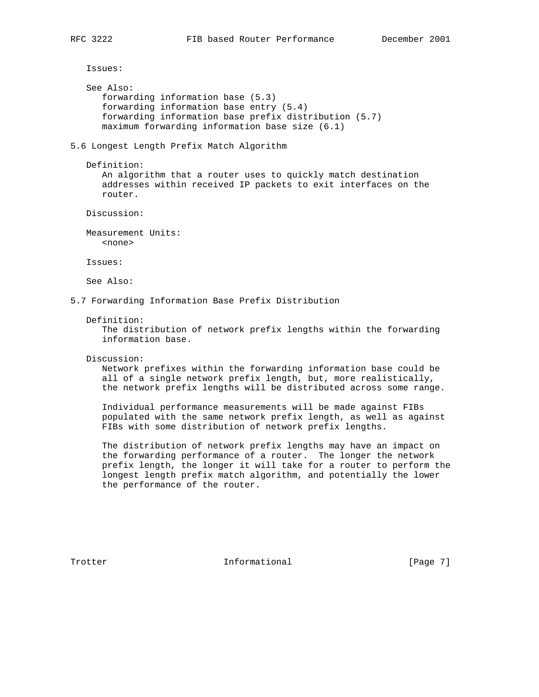Issues:

```
 See Also:
    forwarding information base (5.3)
    forwarding information base entry (5.4)
    forwarding information base prefix distribution (5.7)
    maximum forwarding information base size (6.1)
```
5.6 Longest Length Prefix Match Algorithm

```
 Definition:
```
 An algorithm that a router uses to quickly match destination addresses within received IP packets to exit interfaces on the router.

Discussion:

 Measurement Units: <none>

Issues:

See Also:

5.7 Forwarding Information Base Prefix Distribution

## Definition:

 The distribution of network prefix lengths within the forwarding information base.

Discussion:

 Network prefixes within the forwarding information base could be all of a single network prefix length, but, more realistically, the network prefix lengths will be distributed across some range.

 Individual performance measurements will be made against FIBs populated with the same network prefix length, as well as against FIBs with some distribution of network prefix lengths.

 The distribution of network prefix lengths may have an impact on the forwarding performance of a router. The longer the network prefix length, the longer it will take for a router to perform the longest length prefix match algorithm, and potentially the lower the performance of the router.

Trotter **Informational** Informational [Page 7]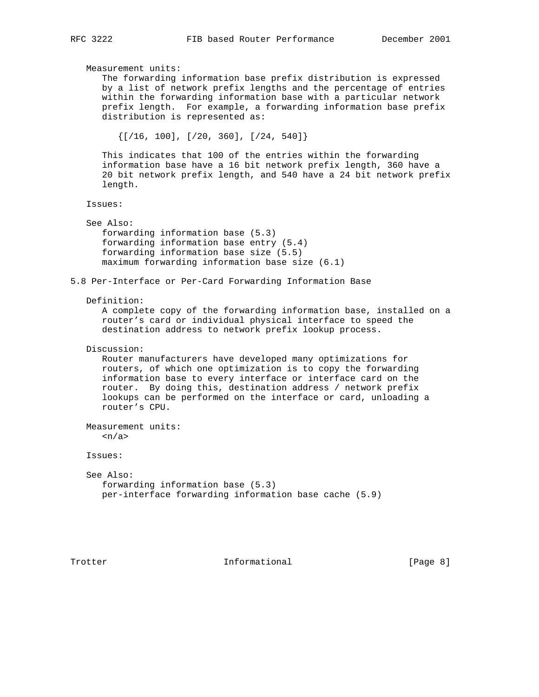Measurement units: The forwarding information base prefix distribution is expressed by a list of network prefix lengths and the percentage of entries within the forwarding information base with a particular network prefix length. For example, a forwarding information base prefix distribution is represented as:  $\{$  [/16, 100], [/20, 360], [/24, 540]} This indicates that 100 of the entries within the forwarding information base have a 16 bit network prefix length, 360 have a 20 bit network prefix length, and 540 have a 24 bit network prefix length. Issues: See Also: forwarding information base (5.3) forwarding information base entry (5.4) forwarding information base size (5.5) maximum forwarding information base size (6.1) 5.8 Per-Interface or Per-Card Forwarding Information Base Definition: A complete copy of the forwarding information base, installed on a router's card or individual physical interface to speed the destination address to network prefix lookup process. Discussion: Router manufacturers have developed many optimizations for routers, of which one optimization is to copy the forwarding information base to every interface or interface card on the router. By doing this, destination address / network prefix lookups can be performed on the interface or card, unloading a router's CPU. Measurement units:  $\langle n/a \rangle$  Issues: See Also: forwarding information base (5.3) per-interface forwarding information base cache (5.9)

Trotter **Informational** Informational [Page 8]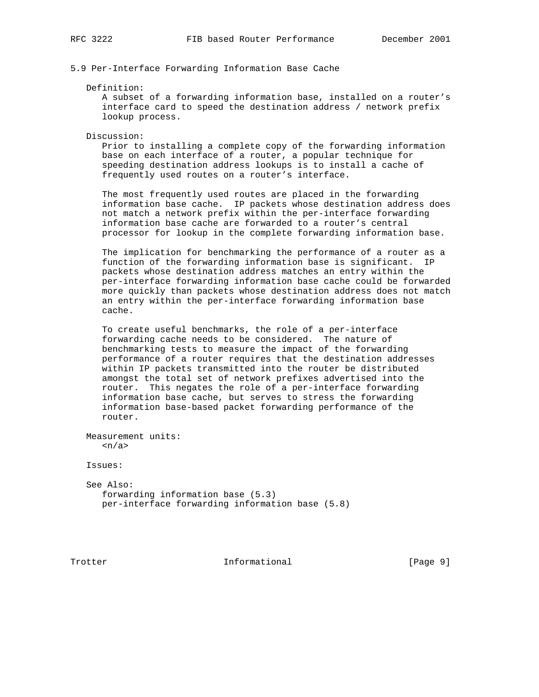# 5.9 Per-Interface Forwarding Information Base Cache

## Definition:

 A subset of a forwarding information base, installed on a router's interface card to speed the destination address / network prefix lookup process.

## Discussion:

 Prior to installing a complete copy of the forwarding information base on each interface of a router, a popular technique for speeding destination address lookups is to install a cache of frequently used routes on a router's interface.

 The most frequently used routes are placed in the forwarding information base cache. IP packets whose destination address does not match a network prefix within the per-interface forwarding information base cache are forwarded to a router's central processor for lookup in the complete forwarding information base.

 The implication for benchmarking the performance of a router as a function of the forwarding information base is significant. IP packets whose destination address matches an entry within the per-interface forwarding information base cache could be forwarded more quickly than packets whose destination address does not match an entry within the per-interface forwarding information base cache.

 To create useful benchmarks, the role of a per-interface forwarding cache needs to be considered. The nature of benchmarking tests to measure the impact of the forwarding performance of a router requires that the destination addresses within IP packets transmitted into the router be distributed amongst the total set of network prefixes advertised into the router. This negates the role of a per-interface forwarding information base cache, but serves to stress the forwarding information base-based packet forwarding performance of the router.

 Measurement units:  $\langle n/a \rangle$ 

Issues:

 See Also: forwarding information base (5.3) per-interface forwarding information base (5.8)

Trotter **Informational** Informational [Page 9]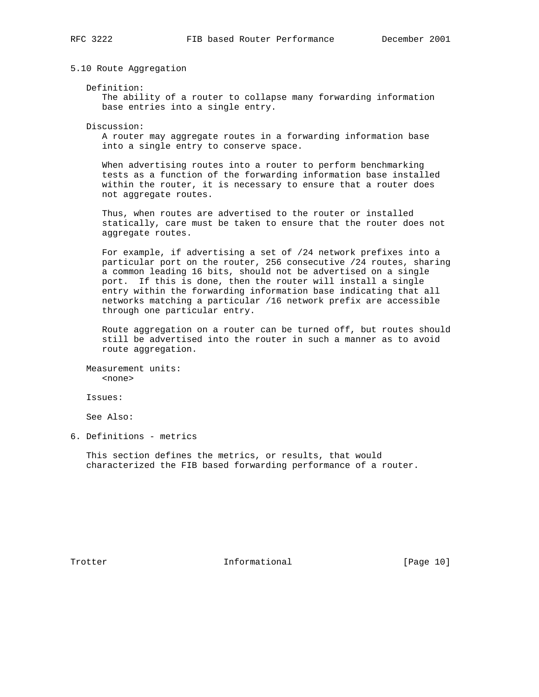5.10 Route Aggregation

Definition:

 The ability of a router to collapse many forwarding information base entries into a single entry.

Discussion:

 A router may aggregate routes in a forwarding information base into a single entry to conserve space.

 When advertising routes into a router to perform benchmarking tests as a function of the forwarding information base installed within the router, it is necessary to ensure that a router does not aggregate routes.

 Thus, when routes are advertised to the router or installed statically, care must be taken to ensure that the router does not aggregate routes.

 For example, if advertising a set of /24 network prefixes into a particular port on the router, 256 consecutive /24 routes, sharing a common leading 16 bits, should not be advertised on a single port. If this is done, then the router will install a single entry within the forwarding information base indicating that all networks matching a particular /16 network prefix are accessible through one particular entry.

 Route aggregation on a router can be turned off, but routes should still be advertised into the router in such a manner as to avoid route aggregation.

 Measurement units: <none>

Issues:

See Also:

6. Definitions - metrics

 This section defines the metrics, or results, that would characterized the FIB based forwarding performance of a router.

Trotter 10 Informational [Page 10]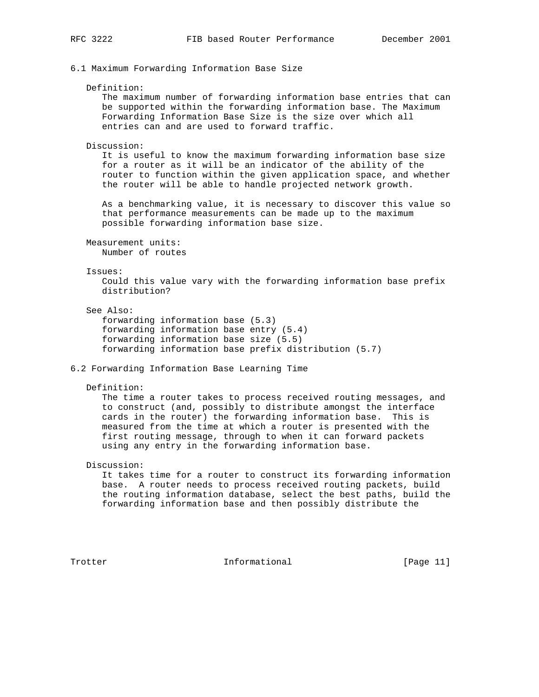6.1 Maximum Forwarding Information Base Size

#### Definition:

 The maximum number of forwarding information base entries that can be supported within the forwarding information base. The Maximum Forwarding Information Base Size is the size over which all entries can and are used to forward traffic.

#### Discussion:

 It is useful to know the maximum forwarding information base size for a router as it will be an indicator of the ability of the router to function within the given application space, and whether the router will be able to handle projected network growth.

 As a benchmarking value, it is necessary to discover this value so that performance measurements can be made up to the maximum possible forwarding information base size.

 Measurement units: Number of routes

## Issues:

 Could this value vary with the forwarding information base prefix distribution?

See Also:

 forwarding information base (5.3) forwarding information base entry (5.4) forwarding information base size (5.5) forwarding information base prefix distribution (5.7)

## 6.2 Forwarding Information Base Learning Time

## Definition:

 The time a router takes to process received routing messages, and to construct (and, possibly to distribute amongst the interface cards in the router) the forwarding information base. This is measured from the time at which a router is presented with the first routing message, through to when it can forward packets using any entry in the forwarding information base.

# Discussion:

 It takes time for a router to construct its forwarding information base. A router needs to process received routing packets, build the routing information database, select the best paths, build the forwarding information base and then possibly distribute the

Trotter 10 Informational [Page 11]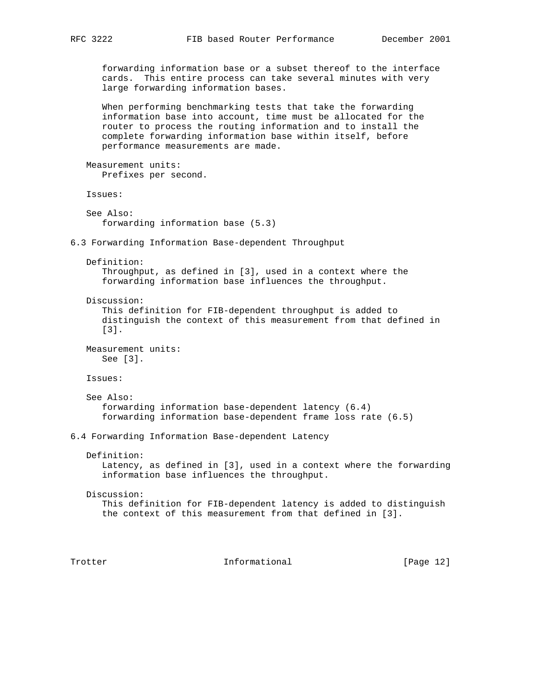forwarding information base or a subset thereof to the interface cards. This entire process can take several minutes with very large forwarding information bases.

 When performing benchmarking tests that take the forwarding information base into account, time must be allocated for the router to process the routing information and to install the complete forwarding information base within itself, before performance measurements are made.

 Measurement units: Prefixes per second.

Issues:

```
 See Also:
    forwarding information base (5.3)
```
6.3 Forwarding Information Base-dependent Throughput

 Definition: Throughput, as defined in [3], used in a context where the forwarding information base influences the throughput.

Discussion:

 This definition for FIB-dependent throughput is added to distinguish the context of this measurement from that defined in [3].

 Measurement units: See [3].

Issues:

```
 See Also:
    forwarding information base-dependent latency (6.4)
    forwarding information base-dependent frame loss rate (6.5)
```
6.4 Forwarding Information Base-dependent Latency

Definition:

 Latency, as defined in [3], used in a context where the forwarding information base influences the throughput.

# Discussion: This definition for FIB-dependent latency is added to distinguish the context of this measurement from that defined in [3].

Trotter 10 Informational [Page 12]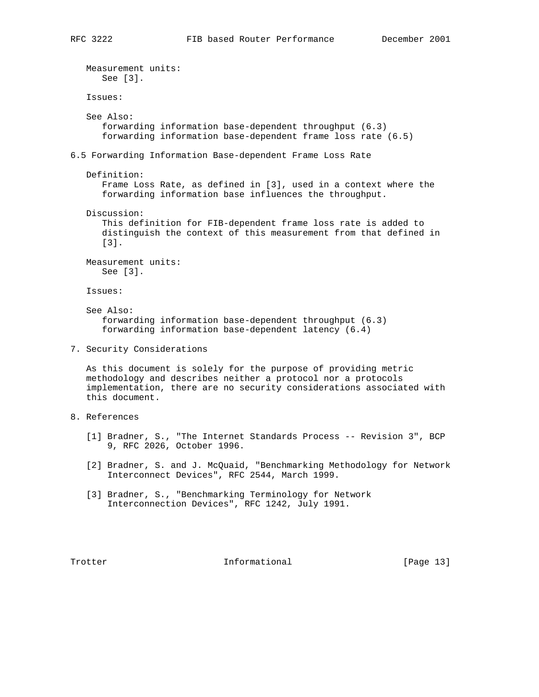Measurement units: See [3]. Issues: See Also: forwarding information base-dependent throughput (6.3) forwarding information base-dependent frame loss rate (6.5) 6.5 Forwarding Information Base-dependent Frame Loss Rate Definition: Frame Loss Rate, as defined in [3], used in a context where the forwarding information base influences the throughput. Discussion: This definition for FIB-dependent frame loss rate is added to distinguish the context of this measurement from that defined in [3]. Measurement units: See [3]. Issues: See Also: forwarding information base-dependent throughput (6.3) forwarding information base-dependent latency (6.4) 7. Security Considerations As this document is solely for the purpose of providing metric methodology and describes neither a protocol nor a protocols implementation, there are no security considerations associated with this document. 8. References [1] Bradner, S., "The Internet Standards Process -- Revision 3", BCP 9, RFC 2026, October 1996. [2] Bradner, S. and J. McQuaid, "Benchmarking Methodology for Network Interconnect Devices", RFC 2544, March 1999. [3] Bradner, S., "Benchmarking Terminology for Network Interconnection Devices", RFC 1242, July 1991. Trotter 1. Informational [Page 13]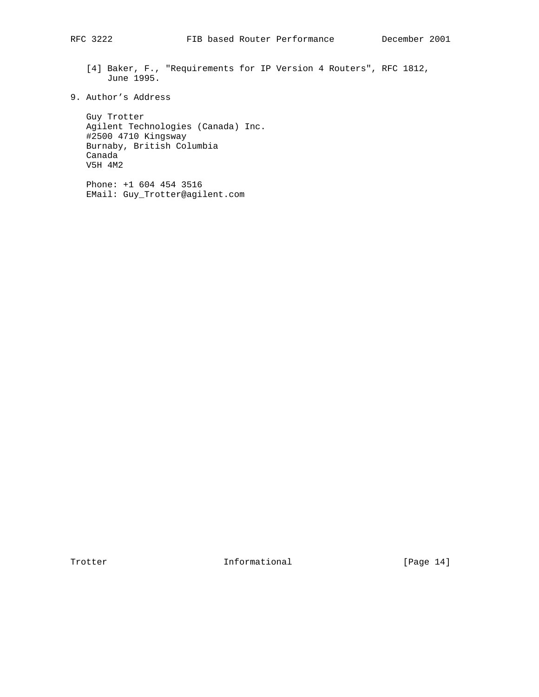- [4] Baker, F., "Requirements for IP Version 4 Routers", RFC 1812, June 1995.
- 9. Author's Address

 Guy Trotter Agilent Technologies (Canada) Inc. #2500 4710 Kingsway Burnaby, British Columbia Canada V5H 4M2

 Phone: +1 604 454 3516 EMail: Guy\_Trotter@agilent.com

Trotter Informational [Page 14]